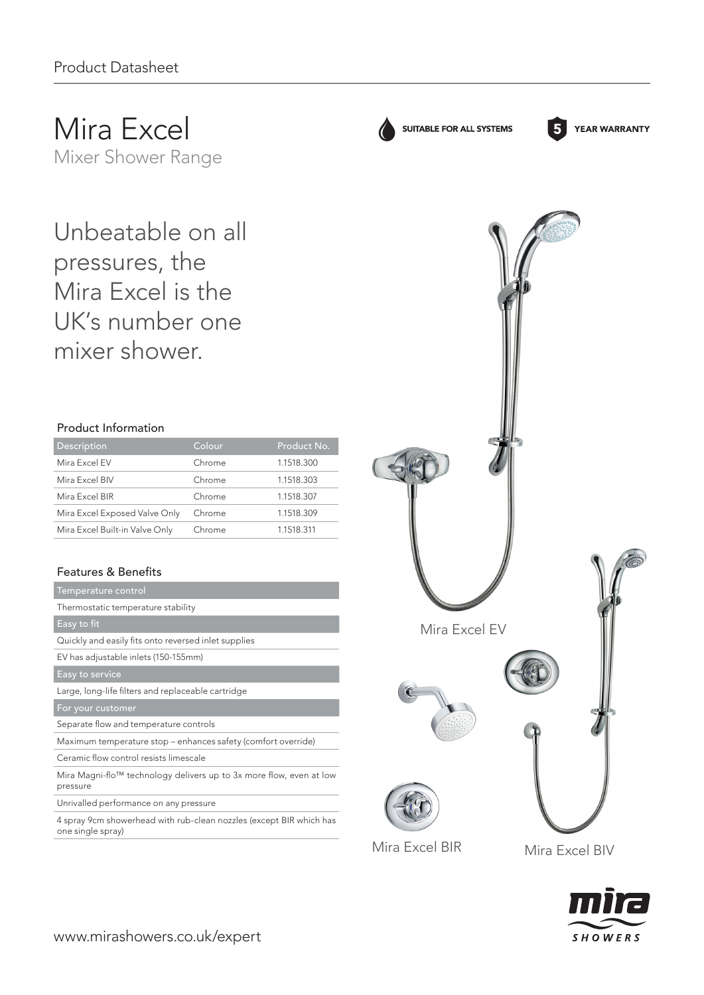Mira Excel Mixer Shower Range

Unbeatable on all pressures, the Mira Excel is the UK's number one mixer shower.

# Product Information

| Description                    | Colour | Product No. |
|--------------------------------|--------|-------------|
| Mira Excel EV                  | Chrome | 1.1518.300  |
| Mira Excel BIV                 | Chrome | 1.1518.303  |
| Mira Excel BIR                 | Chrome | 1.1518.307  |
| Mira Excel Exposed Valve Only  | Chrome | 1.1518.309  |
| Mira Excel Built-in Valve Only | Chrome | 1.1518.311  |

# Features & Benefits

| Temperature control                                                             |
|---------------------------------------------------------------------------------|
| Thermostatic temperature stability                                              |
| Easy to fit                                                                     |
| Quickly and easily fits onto reversed inlet supplies                            |
| EV has adjustable inlets (150-155mm)                                            |
| Easy to service                                                                 |
| Large, long-life filters and replaceable cartridge                              |
| For your customer                                                               |
| Separate flow and temperature controls                                          |
| Maximum temperature stop - enhances safety (comfort override)                   |
|                                                                                 |
| Ceramic flow control resists limescale                                          |
| Mira Magni-flo™ technology delivers up to 3x more flow, even at low<br>pressure |
| Unrivalled performance on any pressure                                          |

4 spray 9cm showerhead with rub-clean nozzles (except BIR which has one single spray)